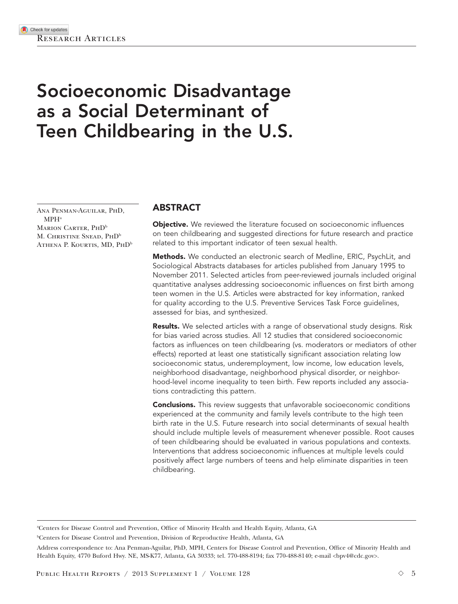# Socioeconomic Disadvantage as a Social Determinant of Teen Childbearing in the U.S.

Ana Penman-Aguilar, PhD,  $MPH^a$ MARION CARTER, PHD<sup>b</sup> M. CHRISTINE SNEAD, PHD<sup>b</sup> ATHENA P. KOURTIS, MD, PHD<sup>b</sup>

## ABSTRACT

Objective. We reviewed the literature focused on socioeconomic influences on teen childbearing and suggested directions for future research and practice related to this important indicator of teen sexual health.

Methods. We conducted an electronic search of Medline, ERIC, PsychLit, and Sociological Abstracts databases for articles published from January 1995 to November 2011. Selected articles from peer-reviewed journals included original quantitative analyses addressing socioeconomic influences on first birth among teen women in the U.S. Articles were abstracted for key information, ranked for quality according to the U.S. Preventive Services Task Force guidelines, assessed for bias, and synthesized.

**Results.** We selected articles with a range of observational study designs. Risk for bias varied across studies. All 12 studies that considered socioeconomic factors as influences on teen childbearing (vs. moderators or mediators of other effects) reported at least one statistically significant association relating low socioeconomic status, underemployment, low income, low education levels, neighborhood disadvantage, neighborhood physical disorder, or neighborhood-level income inequality to teen birth. Few reports included any associations contradicting this pattern.

**Conclusions.** This review suggests that unfavorable socioeconomic conditions experienced at the community and family levels contribute to the high teen birth rate in the U.S. Future research into social determinants of sexual health should include multiple levels of measurement whenever possible. Root causes of teen childbearing should be evaluated in various populations and contexts. Interventions that address socioeconomic influences at multiple levels could positively affect large numbers of teens and help eliminate disparities in teen childbearing.

a Centers for Disease Control and Prevention, Office of Minority Health and Health Equity, Atlanta, GA

b Centers for Disease Control and Prevention, Division of Reproductive Health, Atlanta, GA

Address correspondence to: Ana Penman-Aguilar, PhD, MPH, Centers for Disease Control and Prevention, Office of Minority Health and Health Equity, 4770 Buford Hwy. NE, MS-K77, Atlanta, GA 30333; tel. 770-488-8194; fax 770-488-8140; e-mail <bpv4@cdc.gov>.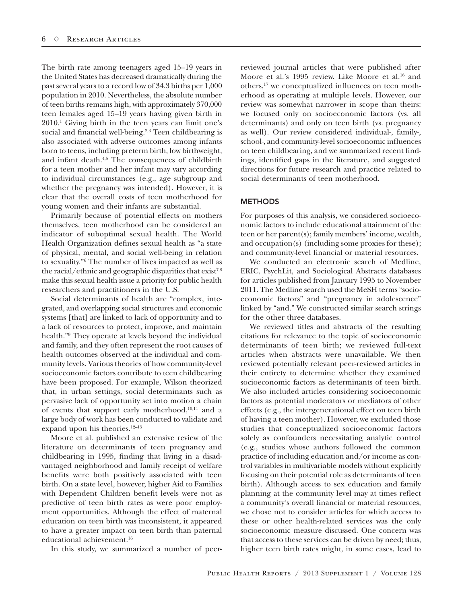The birth rate among teenagers aged 15–19 years in the United States has decreased dramatically during the past several years to a record low of 34.3 births per 1,000 population in 2010. Nevertheless, the absolute number of teen births remains high, with approximately 370,000 teen females aged 15–19 years having given birth in 2010.1 Giving birth in the teen years can limit one's social and financial well-being. $2,3$  Teen childbearing is also associated with adverse outcomes among infants born to teens, including preterm birth, low birthweight, and infant death.<sup>4,5</sup> The consequences of childbirth for a teen mother and her infant may vary according to individual circumstances (e.g., age subgroup and whether the pregnancy was intended). However, it is clear that the overall costs of teen motherhood for young women and their infants are substantial.

Primarily because of potential effects on mothers themselves, teen motherhood can be considered an indicator of suboptimal sexual health. The World Health Organization defines sexual health as "a state of physical, mental, and social well-being in relation to sexuality."6 The number of lives impacted as well as the racial/ethnic and geographic disparities that  $exist^{7,8}$ make this sexual health issue a priority for public health researchers and practitioners in the U.S.

Social determinants of health are "complex, integrated, and overlapping social structures and economic systems [that] are linked to lack of opportunity and to a lack of resources to protect, improve, and maintain health."9 They operate at levels beyond the individual and family, and they often represent the root causes of health outcomes observed at the individual and community levels. Various theories of how community-level socioeconomic factors contribute to teen childbearing have been proposed. For example, Wilson theorized that, in urban settings, social determinants such as pervasive lack of opportunity set into motion a chain of events that support early motherhood,<sup>10,11</sup> and a large body of work has been conducted to validate and expand upon his theories.<sup>12–15</sup>

Moore et al. published an extensive review of the literature on determinants of teen pregnancy and childbearing in 1995, finding that living in a disadvantaged neighborhood and family receipt of welfare benefits were both positively associated with teen birth. On a state level, however, higher Aid to Families with Dependent Children benefit levels were not as predictive of teen birth rates as were poor employment opportunities. Although the effect of maternal education on teen birth was inconsistent, it appeared to have a greater impact on teen birth than paternal educational achievement.16

In this study, we summarized a number of peer-

reviewed journal articles that were published after Moore et al.'s 1995 review. Like Moore et al.<sup>16</sup> and others,17 we conceptualized influences on teen motherhood as operating at multiple levels. However, our review was somewhat narrower in scope than theirs: we focused only on socioeconomic factors (vs. all determinants) and only on teen birth (vs. pregnancy as well). Our review considered individual-, family-, school-, and community-level socioeconomic influences on teen childbearing, and we summarized recent findings, identified gaps in the literature, and suggested directions for future research and practice related to social determinants of teen motherhood.

## **METHODS**

For purposes of this analysis, we considered socioeconomic factors to include educational attainment of the teen or her parent(s); family members' income, wealth, and occupation(s) (including some proxies for these); and community-level financial or material resources.

We conducted an electronic search of Medline, ERIC, PsychLit, and Sociological Abstracts databases for articles published from January 1995 to November 2011. The Medline search used the MeSH terms "socioeconomic factors" and "pregnancy in adolescence" linked by "and." We constructed similar search strings for the other three databases.

We reviewed titles and abstracts of the resulting citations for relevance to the topic of socioeconomic determinants of teen birth; we reviewed full-text articles when abstracts were unavailable. We then reviewed potentially relevant peer-reviewed articles in their entirety to determine whether they examined socioeconomic factors as determinants of teen birth. We also included articles considering socioeconomic factors as potential moderators or mediators of other effects (e.g., the intergenerational effect on teen birth of having a teen mother). However, we excluded those studies that conceptualized socioeconomic factors solely as confounders necessitating analytic control (e.g., studies whose authors followed the common practice of including education and/or income as control variables in multivariable models without explicitly focusing on their potential role as determinants of teen birth). Although access to sex education and family planning at the community level may at times reflect a community's overall financial or material resources, we chose not to consider articles for which access to these or other health-related services was the only socioeconomic measure discussed. One concern was that access to these services can be driven by need; thus, higher teen birth rates might, in some cases, lead to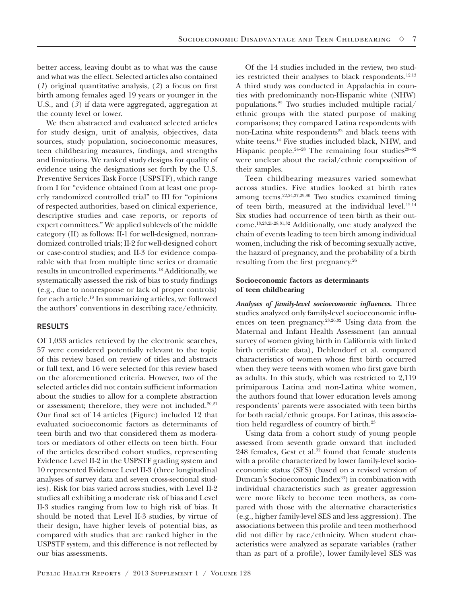better access, leaving doubt as to what was the cause and what was the effect. Selected articles also contained (*1*) original quantitative analysis, (*2*) a focus on first birth among females aged 19 years or younger in the U.S., and (*3*) if data were aggregated, aggregation at the county level or lower.

We then abstracted and evaluated selected articles for study design, unit of analysis, objectives, data sources, study population, socioeconomic measures, teen childbearing measures, findings, and strengths and limitations. We ranked study designs for quality of evidence using the designations set forth by the U.S. Preventive Services Task Force (USPSTF), which range from I for "evidence obtained from at least one properly randomized controlled trial" to III for "opinions of respected authorities, based on clinical experience, descriptive studies and case reports, or reports of expert committees." We applied sublevels of the middle category (II) as follows: II-1 for well-designed, nonrandomized controlled trials; II-2 for well-designed cohort or case-control studies; and II-3 for evidence comparable with that from multiple time series or dramatic results in uncontrolled experiments.18 Additionally, we systematically assessed the risk of bias to study findings (e.g., due to nonresponse or lack of proper controls) for each article.19 In summarizing articles, we followed the authors' conventions in describing race/ethnicity.

## RESULTS

Of 1,033 articles retrieved by the electronic searches, 57 were considered potentially relevant to the topic of this review based on review of titles and abstracts or full text, and 16 were selected for this review based on the aforementioned criteria. However, two of the selected articles did not contain sufficient information about the studies to allow for a complete abstraction or assessment; therefore, they were not included. $20,21$ Our final set of 14 articles (Figure) included 12 that evaluated socioeconomic factors as determinants of teen birth and two that considered them as moderators or mediators of other effects on teen birth. Four of the articles described cohort studies, representing Evidence Level II-2 in the USPSTF grading system and 10 represented Evidence Level II-3 (three longitudinal analyses of survey data and seven cross-sectional studies). Risk for bias varied across studies, with Level II-2 studies all exhibiting a moderate risk of bias and Level II-3 studies ranging from low to high risk of bias. It should be noted that Level II-3 studies, by virtue of their design, have higher levels of potential bias, as compared with studies that are ranked higher in the USPSTF system, and this difference is not reflected by our bias assessments.

Of the 14 studies included in the review, two studies restricted their analyses to black respondents.12,13 A third study was conducted in Appalachia in counties with predominantly non-Hispanic white (NHW) populations.22 Two studies included multiple racial/ ethnic groups with the stated purpose of making comparisons; they compared Latina respondents with non-Latina white respondents<sup>23</sup> and black teens with white teens.<sup>14</sup> Five studies included black, NHW, and Hispanic people.<sup>24-28</sup> The remaining four studies<sup>29-32</sup> were unclear about the racial/ethnic composition of their samples.

Teen childbearing measures varied somewhat across studies. Five studies looked at birth rates among teens. $22,24,27,29,30$  Two studies examined timing of teen birth, measured at the individual level.<sup>12,14</sup> Six studies had occurrence of teen birth as their outcome.13,23,25,28,31,32 Additionally, one study analyzed the chain of events leading to teen birth among individual women, including the risk of becoming sexually active, the hazard of pregnancy, and the probability of a birth resulting from the first pregnancy.26

## **Socioeconomic factors as determinants of teen childbearing**

*Analyses of family-level socioeconomic influences.* Three studies analyzed only family-level socioeconomic influences on teen pregnancy.23,26,32 Using data from the Maternal and Infant Health Assessment (an annual survey of women giving birth in California with linked birth certificate data), Dehlendorf et al. compared characteristics of women whose first birth occurred when they were teens with women who first gave birth as adults. In this study, which was restricted to 2,119 primiparous Latina and non-Latina white women, the authors found that lower education levels among respondents' parents were associated with teen births for both racial/ethnic groups. For Latinas, this association held regardless of country of birth.<sup>23</sup>

Using data from a cohort study of young people assessed from seventh grade onward that included 248 females, Gest et al.<sup>32</sup> found that female students with a profile characterized by lower family-level socioeconomic status (SES) (based on a revised version of Duncan's Socioeconomic Index<sup>33</sup>) in combination with individual characteristics such as greater aggression were more likely to become teen mothers, as compared with those with the alternative characteristics (e.g., higher family-level SES and less aggression). The associations between this profile and teen motherhood did not differ by race/ethnicity. When student characteristics were analyzed as separate variables (rather than as part of a profile), lower family-level SES was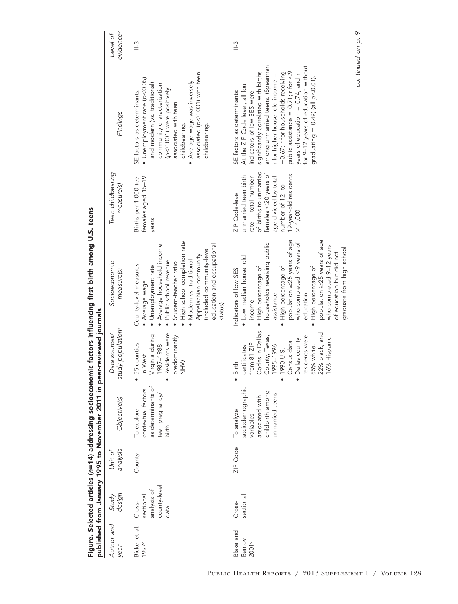|                                                 |                                                            |                     | published from January 1995 to November 2011 in peer-reviewed journals                                |                                                                                                                                                                                                       |                                                                                                                                                                                                                                                                                                                                                                                                           |                                                                                                                                                                                                           |                                                                                                                                                                                                                                                                                                                                                                                                                   |                        |
|-------------------------------------------------|------------------------------------------------------------|---------------------|-------------------------------------------------------------------------------------------------------|-------------------------------------------------------------------------------------------------------------------------------------------------------------------------------------------------------|-----------------------------------------------------------------------------------------------------------------------------------------------------------------------------------------------------------------------------------------------------------------------------------------------------------------------------------------------------------------------------------------------------------|-----------------------------------------------------------------------------------------------------------------------------------------------------------------------------------------------------------|-------------------------------------------------------------------------------------------------------------------------------------------------------------------------------------------------------------------------------------------------------------------------------------------------------------------------------------------------------------------------------------------------------------------|------------------------|
| Author and<br>year                              | design<br>Study                                            | analysis<br>Unit of | Objective(s)                                                                                          | study population <sup>a</sup><br>Data sources/                                                                                                                                                        | Socioeconomic<br>measure(s)                                                                                                                                                                                                                                                                                                                                                                               | Teen childbearing<br>measure(s)                                                                                                                                                                           | Findings                                                                                                                                                                                                                                                                                                                                                                                                          | evidenceb<br>Level of  |
| Bickel et al.<br>1997c                          | county-level<br>analysis of<br>sectional<br>Cross-<br>data | County              | as determinants of<br>contextual factors<br>teen pregnancy/<br>To explore<br>birth                    | Residents were<br>Virginia during<br>predominantly<br>55 counties<br>1987-1988<br>in West<br>NHN                                                                                                      | High school completion rate<br>education and occupational<br>Average household income<br>(included community-level<br>Appalachian community<br>Modern vs. traditional<br>Public school revenue<br>Student-teacher ratio<br>County-level measures:<br>Unemployment rate<br>Average wage<br>status)                                                                                                         | Births per 1,000 teen<br>females aged 15-19<br>years                                                                                                                                                      | associated (p<0.001) with teen<br>• Unemployment rate (p<0.05)<br>Average wage was inversely<br>and modern (vs. traditional)<br>community characterization<br>(p<0.001) were positively<br>SE factors as determinants:<br>associated with teen<br>childbearing.<br>childbearing.<br>$\bullet$                                                                                                                     | $\stackrel{2}{\equiv}$ |
| <b>Blake and</b><br>Bentov<br>2001 <sup>d</sup> | sectional<br>Cross-                                        | ZIP Code            | sociodemographic<br>childbirth among<br>unmarried teens<br>associated with<br>To analyze<br>variables | Codes in Dallas<br>22% black, and<br>residents were<br>County, Texas,<br>16% Hispanic<br>Dallas county<br>Census data<br>from 81 ZIP<br>65% white,<br>1995-1996<br>certificates<br>1990 U.S.<br>Birth | population $\geq$ 25 years of age<br>population ≥25 years of age<br>households receiving public<br>who completed $<$ 9 years of<br>who completed 9-12 years<br>graduate from high school<br>of education but did not<br>· Low median household<br>High percentage of<br>High percentage of<br>High percentage of<br>Indicators of low SES:<br>assistance<br>education<br>income<br>$\bullet$<br>$\bullet$ | of births to unmarried<br>females $<$ 20 years of<br>19-year-old residents<br>unmarried teen birth<br>rate = total number<br>age divided by total<br>number of 12- to<br>ZIP Code-level<br>$\times$ 1,000 | among unmarried teens. (Spearman<br>for 9-12 years of education without<br>public assistance = $0.71$ ; r for <9<br>significantly correlated with births<br>-0.67; r for households receiving<br>r for higher household income =<br>years of education $= 0.74$ ; and r<br>graduating = $0.49$ ) (all $p$ <0.01).<br>At the ZIP Code level, all four<br>SE factors as determinants:<br>indicators of low SES were | $\frac{1}{2}$          |
|                                                 |                                                            |                     |                                                                                                       |                                                                                                                                                                                                       |                                                                                                                                                                                                                                                                                                                                                                                                           |                                                                                                                                                                                                           |                                                                                                                                                                                                                                                                                                                                                                                                                   | continued on p. 9      |

Figure. Selected articles (n=14) addressing socioeconomic factors influencing first birth among U.S. teens *n*=14) addressing socioeconomic factors influencing first birth among U.S. teens Figure. Selected articles (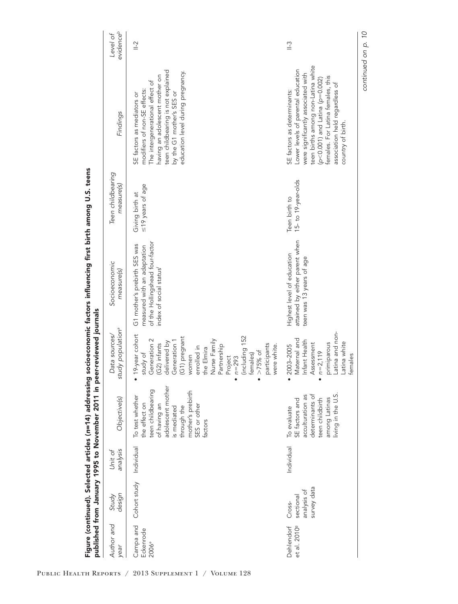|                                                                                                                                   | evidenceb<br>Level of                          | $\tilde{=}$                                                                                                                                                                                                                                                                         | $\stackrel{?}{=}$                                                                                                                                                                                                                                                              | continued on p. 10 |
|-----------------------------------------------------------------------------------------------------------------------------------|------------------------------------------------|-------------------------------------------------------------------------------------------------------------------------------------------------------------------------------------------------------------------------------------------------------------------------------------|--------------------------------------------------------------------------------------------------------------------------------------------------------------------------------------------------------------------------------------------------------------------------------|--------------------|
|                                                                                                                                   | Findings                                       | teen childbearing is not explained<br>education level during pregnancy.<br>having an adolescent mother on<br>The intergenerational effect of<br>modifiers of non-SE effects:<br>by the G1 mother's SES or<br>SE factors as mediators or                                             | teen births among non-Latina white<br>Lower levels of parental education<br>were significantly associated with<br>emales. For Latina females, this<br>$(p<0.001)$ and Latina $(p=0.002)$<br>association held regardless of<br>SE factors as determinants:<br>country of birth. |                    |
|                                                                                                                                   | Teen childbearing<br>measure(s)                | ≤19 years of age<br>Giving birth at                                                                                                                                                                                                                                                 | 15-to 19-year-olds<br>Teen birth to                                                                                                                                                                                                                                            |                    |
| socioeconomic factors influencing first birth among U.S. teens                                                                    | Socioeconomic<br>measure(s)                    | of the Hollingshead four-factor<br>G1 mother's prebirth SES was<br>measured with an adaptation<br>index of social status <sup>f</sup>                                                                                                                                               | attained by either parent when<br>Highest level of education<br>teen was 13 years of age                                                                                                                                                                                       |                    |
|                                                                                                                                   | study population <sup>a</sup><br>Data sources/ | 19-year cohort<br>(including 152<br>(G1) pregnant<br>Generation 2<br>Nurse Family<br>Generation 1<br>delivered by<br>(G2) infants<br>participants<br>Partnership<br>were white.<br>enrolled in<br>the Elmira<br>$>75\%$ of<br>study of<br>females)<br>women<br>Project<br>$n = 293$ | Latina and non-<br>Maternal and<br>Infant Health<br>Latina white<br>primiparous<br>Assessment<br>2003-2005<br>$n=2,119$<br>females                                                                                                                                             |                    |
| published from January 1995 to November 2011 in peer-reviewed journals<br>Figure (continued). Selected articles (n=14) addressing | Objective(s)                                   | adolescent mother<br>teen childbearing<br>mother's prebirth<br>To test whether<br>the effect on<br>SES or other<br>of having an<br>through the<br>is mediated<br><b>factors</b>                                                                                                     | living in the U.S.<br>acculturation as<br>determinants of<br>among Latinas<br>teen childbirth<br>SE factors and<br>To evaluate                                                                                                                                                 |                    |
|                                                                                                                                   | analysis<br>Unit of                            |                                                                                                                                                                                                                                                                                     | Individual                                                                                                                                                                                                                                                                     |                    |
|                                                                                                                                   | Study<br>design                                | Cohort study Individual                                                                                                                                                                                                                                                             | survey data<br>analysis of<br>sectional<br>Cross-                                                                                                                                                                                                                              |                    |
|                                                                                                                                   | Author and<br>year                             | Campa and<br>Eckenrode<br>2006 <sup>e</sup>                                                                                                                                                                                                                                         | et al. 2010 <sup>9</sup><br>Dehlendorf                                                                                                                                                                                                                                         |                    |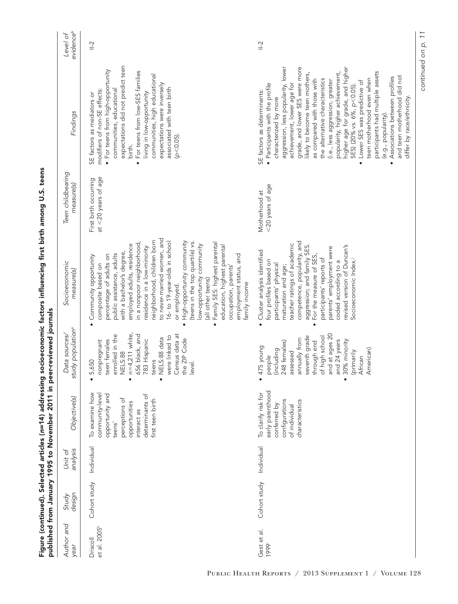| S. teens                 |                          |  |
|--------------------------|--------------------------|--|
|                          |                          |  |
| nome Htti<br> <br> }<br> |                          |  |
|                          |                          |  |
|                          |                          |  |
|                          |                          |  |
|                          | <b>111</b> in peer-revi- |  |
| articles (n=14) addrese  |                          |  |
| ි<br>ට                   | ry 1995 to N             |  |
|                          | om Janua                 |  |
|                          |                          |  |

| evidenceb<br>Level of                          | $\frac{2}{1}$                                                                                                                                                                                                                                                                                                                                                                                                                                                                                                                                                                                 | $\frac{2}{1}$                                                                                                                                                                                                                                                                                                                                                                                                                                                                                                                                                                                                                                                                           |
|------------------------------------------------|-----------------------------------------------------------------------------------------------------------------------------------------------------------------------------------------------------------------------------------------------------------------------------------------------------------------------------------------------------------------------------------------------------------------------------------------------------------------------------------------------------------------------------------------------------------------------------------------------|-----------------------------------------------------------------------------------------------------------------------------------------------------------------------------------------------------------------------------------------------------------------------------------------------------------------------------------------------------------------------------------------------------------------------------------------------------------------------------------------------------------------------------------------------------------------------------------------------------------------------------------------------------------------------------------------|
| Findings                                       | expectations did not predict teen<br>· For teens from high-opportunity<br>For teens from low-SES families<br>communities, high educational<br>expectations were inversely<br>associated with teen birth<br>modifiers of non-SE effects:<br>communities, educational<br>living in low-opportunity<br>SE factors as mediators or<br>$(p < 0.05)$ .<br>birth.<br>$\bullet$                                                                                                                                                                                                                       | grade, and lower SES were more<br>aggression, less popularity, lower<br>higher age for grade, and higher<br>participants had multiple assets<br>popularity, higher achievement,<br>likely to become teen mothers,<br>and teen motherhood did not<br>Associations between profiles<br>the alternative characteristics<br>teen motherhood even when<br>as compared with those with<br>(i.e., less aggression, greater<br>Lower SES was predictive of<br>· Participants with the profile<br>achievement, lower age for<br>SES) (20% vs. 6%, p<0.05).<br>SE factors as determinants:<br>differ by race/ethnicity.<br>characterized by more<br>(e.g., popularity).<br>$\bullet$<br>$\bullet$ |
| Teen childbearing<br>measure(s)                | at $<$ 20 years of age<br>First birth occurring                                                                                                                                                                                                                                                                                                                                                                                                                                                                                                                                               | <20 years of age<br>Motherhood at                                                                                                                                                                                                                                                                                                                                                                                                                                                                                                                                                                                                                                                       |
| Socioeconomic<br>measure(s)                    | to never-married women, and<br>neighborhood, children born<br>High-opportunity community<br>16- to 19-year-olds in school<br>(teens in the top quartile) vs.<br>Family SES: highest parental<br>in a nonpoor neighborhood<br>employed adults, residence<br>low-opportunity community<br>education, highest parental<br>residence in a low-minority<br>with a bachelor's degree,<br>public assistance, adults<br>employment status, and<br>percentage of adults on<br>Community opportunity<br>composite based on<br>occupation, parents'<br>all other teens)<br>family income<br>or employed. | competence, popularity, and<br>teacher ratings of academic<br>aggression; and family SES.<br>revised version of Duncan's<br>parents' employment were<br>Cluster analysis identified<br>For the measure of SES,<br>participants' reports of<br>four profiles based on<br>Socioeconomic Index.<br>coded according to a<br>participants' physical<br>maturation and age;                                                                                                                                                                                                                                                                                                                   |
| study population <sup>a</sup><br>Data sources/ | $\bullet$<br>$\bullet$<br>Census data at<br>$n=4,211$ white<br>656 black, and<br>enrolled in the<br>were linked to<br>NELS:88 data<br>the ZIP Code<br>teen females<br>783 Hispanic<br>nonpregnant<br>NELS:88<br>5,650<br>teens<br>level.                                                                                                                                                                                                                                                                                                                                                      | $\bullet$<br>and at ages 20<br>seventh grade<br>of high school<br>annually from<br>through end<br>and 24 years<br>30% minority<br>248 females)<br>475 young<br>including<br>American)<br>primarily<br>assessed<br>people<br>African                                                                                                                                                                                                                                                                                                                                                                                                                                                     |
| Objective(s)                                   | To examine how<br>community-level<br>opportunity and<br>determinants of<br>perceptions of<br>first teen birth<br>opportunities<br>interact as<br>teens'                                                                                                                                                                                                                                                                                                                                                                                                                                       | early parenthood<br>To clarify risk for<br>configurations<br>characteristics<br>conferred by<br>of individual                                                                                                                                                                                                                                                                                                                                                                                                                                                                                                                                                                           |
| analysis<br>Unit of                            | Individual                                                                                                                                                                                                                                                                                                                                                                                                                                                                                                                                                                                    | Individual                                                                                                                                                                                                                                                                                                                                                                                                                                                                                                                                                                                                                                                                              |
| design<br>Study                                | Cohort study                                                                                                                                                                                                                                                                                                                                                                                                                                                                                                                                                                                  | Cohort study                                                                                                                                                                                                                                                                                                                                                                                                                                                                                                                                                                                                                                                                            |
| Author and<br>year                             | $et$ al. $2005h$<br>Driscoll                                                                                                                                                                                                                                                                                                                                                                                                                                                                                                                                                                  | Gest et al.<br>1999                                                                                                                                                                                                                                                                                                                                                                                                                                                                                                                                                                                                                                                                     |

*continued on p. 11*

continued on p. 11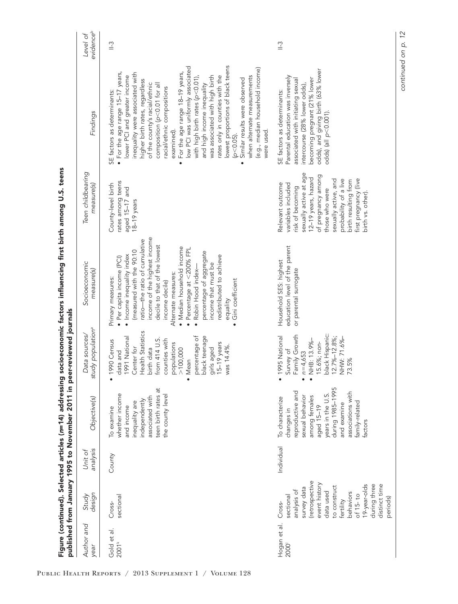| "IS, teens<br>Inong L<br>،<br>•<br>ı tirst l<br>Ī<br>cioeconomic ti<br>cted articles (n=14) addressing | er 2011 in peer-rr |
|--------------------------------------------------------------------------------------------------------|--------------------|
|                                                                                                        |                    |
|                                                                                                        | 1995 to Nu         |
|                                                                                                        |                    |

| evidenceb<br>Level of                          | $\stackrel{2}{\equiv}$                                                                                                                                                                                                                                                                                                                                                                                                                                                                                                                                                                                                                                                                  | $\stackrel{2}{\equiv}$                                                                                                                                                                                                                                                     |
|------------------------------------------------|-----------------------------------------------------------------------------------------------------------------------------------------------------------------------------------------------------------------------------------------------------------------------------------------------------------------------------------------------------------------------------------------------------------------------------------------------------------------------------------------------------------------------------------------------------------------------------------------------------------------------------------------------------------------------------------------|----------------------------------------------------------------------------------------------------------------------------------------------------------------------------------------------------------------------------------------------------------------------------|
| Findings                                       | lowest proportions of black teens<br>low PCI was uniformly associated<br>(e.g., median household income)<br>For the age range 18-19 years,<br>$\bullet$ For the age range 15-17 years,<br>inequality were associated with<br>was associated with high birth<br>rates only in counties with the<br>when alternate measurements<br>lower PCI and greater income<br>with high birth rates (p<0.01),<br>Similar results were observed<br>higher birth rates, regardless<br>of the county's racial/ethnic<br>composition (p<0.01 for all<br>and high income inequality<br>racial/ethnic compositions<br>SE factors as determinants:<br>examined).<br>were used.<br>$(p<0.05)$ .<br>$\bullet$ | odds), and giving birth (63% lower<br>Parental education was inversely<br>becoming pregnant (21% lower<br>associated with initiating sexual<br>intercourse (28% lower odds),<br>SE factors as determinants:<br>odds) (all p<0.001).                                        |
| Teen childbearing<br>measure(s)                | rates among teens<br>County-level birth<br>aged 15-17 and<br>18-19 years                                                                                                                                                                                                                                                                                                                                                                                                                                                                                                                                                                                                                | sexually active at age<br>of pregnancy among<br>12-19 years, hazard<br>probability of a live<br>first pregnancy (live<br>sexually active, and<br>birth resulting from<br>Relevant outcome<br>variables included<br>risk of becoming<br>those who were<br>birth vs. other). |
| Socioeconomic<br>measure(s)                    | income of the highest income<br>ratio-the ratio of cumulative<br>decile to that of the lowest<br>· Median household income<br>Percentage at <200% FPL<br>(measured with the 90:10<br>percentage of aggregate<br>Income inequality index<br>redistributed to achieve<br>Per capita income (PCI)<br>income that must be<br>Robin Hood index-<br>Alternate measures:<br>Primary measures:<br>Gini coefficient<br>income decile)<br>equality<br>$\bullet$<br>$\bullet$<br>$\bullet$<br>$\bullet$                                                                                                                                                                                            | education level of the parent<br>Household SES: highest<br>or parental surrogate                                                                                                                                                                                           |
| study population <sup>ª</sup><br>Data sources/ | Health Statistics<br>percentage of<br>black teenage<br>1991 National<br>from 414 U.S.<br>counties with<br>1990 Census<br>15-19 years<br>populations<br>was 14.4%.<br>Center for<br>girls aged<br>birth data<br>>100,000<br>data and<br>Mean<br>$\bullet$<br>$\bullet$                                                                                                                                                                                                                                                                                                                                                                                                                   | black Hispanic:<br>Family Growth<br>12.7%-12.8%;<br>1995 National<br>NHW: 71.6%<br>NHB: 13.9%-<br>15.6%; non-<br>Survey of<br>$n=4,653$<br>73.5%<br>$\bullet$<br>٠                                                                                                         |
| Objective(s)                                   | teen birth rates at<br>whether income<br>the county level<br>associated with<br>independently<br>inequality are<br>and income<br>To examine                                                                                                                                                                                                                                                                                                                                                                                                                                                                                                                                             | during 1985-1995<br>reproductive and<br>associations with<br>years in the U.S.<br>sexual behavior<br>among females<br>To characterize<br>amily-related<br>and examine<br>aged 15-19<br>changes in<br>factors                                                               |
| analysis<br>Unit of                            | County                                                                                                                                                                                                                                                                                                                                                                                                                                                                                                                                                                                                                                                                                  | Individual                                                                                                                                                                                                                                                                 |
| design<br>Study                                | sectional<br>Cross-                                                                                                                                                                                                                                                                                                                                                                                                                                                                                                                                                                                                                                                                     | (retrospective<br>event history<br>during three<br>distinct time<br>19-year-olds<br>to construct<br>survey data<br>analysis of<br>data used<br>behaviors<br>of $15-to$<br>sectional<br>periods)<br>fertility<br>Cross-                                                     |
| Author and<br>year                             | Gold et al.<br>2001 <sup>k</sup>                                                                                                                                                                                                                                                                                                                                                                                                                                                                                                                                                                                                                                                        | Hogan et al.<br>2000                                                                                                                                                                                                                                                       |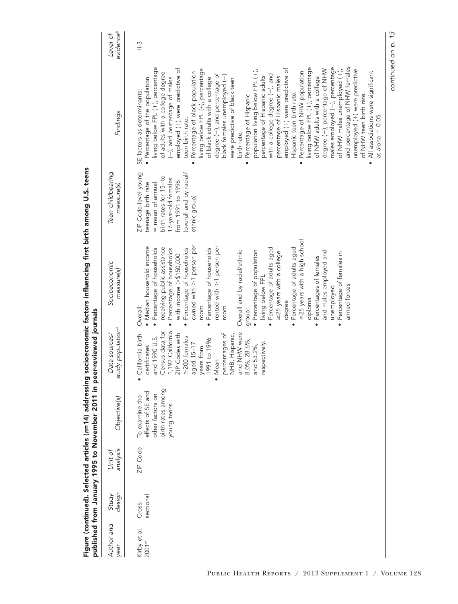Figure (continued). Selected articles (n=14) addressing socioeconomic factors influencing first birth among U.S. teens<br>published from January 1995 to November 2011 in peer-reviewed journals *n*=14) addressing socioeconomic factors influencing first birth among U.S. teens published from January 1995 to November 2011 in peer-reviewed journals Figure (continued). Selected articles (

| evidence <sup>b</sup><br>Level of              | $\frac{3}{1}$                                                                                                                                                                                                                                                                                                                                                                                                                                                                                                                                                                                                                                                                                                         |                                  |
|------------------------------------------------|-----------------------------------------------------------------------------------------------------------------------------------------------------------------------------------------------------------------------------------------------------------------------------------------------------------------------------------------------------------------------------------------------------------------------------------------------------------------------------------------------------------------------------------------------------------------------------------------------------------------------------------------------------------------------------------------------------------------------|----------------------------------|
| Findings                                       | living below FPL (+), percentage<br>employed (+) were predictive of<br>employed (+) were predictive of<br>living below FPL (+), percentage<br>population living below FPL (+),<br>Percentage of NHW population<br>Percentage of black population<br>of adults with a college degree<br>degree (-), and percentage of<br>with a college degree (-), and<br>black females unemployed (+)<br>percentage of Hispanic adults<br>percentage of Hispanic males<br>(-), and percentage of males<br>of black adults with a college<br>· Percentage of the population<br>were predictive of black teen<br>SE factors as determinants:<br>Hispanic teen birth rate.<br>Percentage of Hispanic<br>teen birth rate.<br>birth rate. | living below FPL (+), percentage |
| Teen childbearing<br>measure(s)                | ZIP Code-level young<br>overall and by racial/<br>birth rates for 15- to<br>17-year-old females<br>from 1991 to 1996<br>teenage birth rate<br>= mean of annual<br>ethnic group)                                                                                                                                                                                                                                                                                                                                                                                                                                                                                                                                       |                                  |
| Socioeconomic<br>measure(s)                    | =25 years with a high school<br>owned with $>1$ person per<br>· Median household income<br>rented with >1 person per<br>receiving public assistance<br>Percentage of adults aged<br>· Percentage of households<br>Percentage of households<br>Percentage of adults aged<br>Percentage of households<br>Percentage of households<br>Overall and by racial/ethnic<br>· Percentage of population<br>=25 years with a college<br>with income $>$ \$150,000<br>living below FPI<br>diploma<br>degree<br>Overall:<br>room<br>room<br>group:                                                                                                                                                                                 |                                  |
| study population <sup>a</sup><br>Data sources/ | 1,192 California<br>Census data for<br>and NHW were<br>ZIP Codes with<br>percentages of<br>California birth<br>NHB, Hispanic,<br>and 1990 U.S.<br>=200 females<br>991 to 1996<br>8.0%, 28.6%,<br>respectively.<br>aged 15-17<br>and 53.2%,<br>certificates<br>years from<br>Mean                                                                                                                                                                                                                                                                                                                                                                                                                                      |                                  |
| Objective(s)                                   | birth rates among<br>effects of SE and<br>other factors on<br>To examine the<br>young teens                                                                                                                                                                                                                                                                                                                                                                                                                                                                                                                                                                                                                           |                                  |
| analysis<br>Unit of                            | ZIP Code                                                                                                                                                                                                                                                                                                                                                                                                                                                                                                                                                                                                                                                                                                              |                                  |
| design<br>Study                                | sectional<br>Cross-                                                                                                                                                                                                                                                                                                                                                                                                                                                                                                                                                                                                                                                                                                   |                                  |
| Author and<br>vear                             | Kirby et al.<br>2001 <sup>m</sup>                                                                                                                                                                                                                                                                                                                                                                                                                                                                                                                                                                                                                                                                                     |                                  |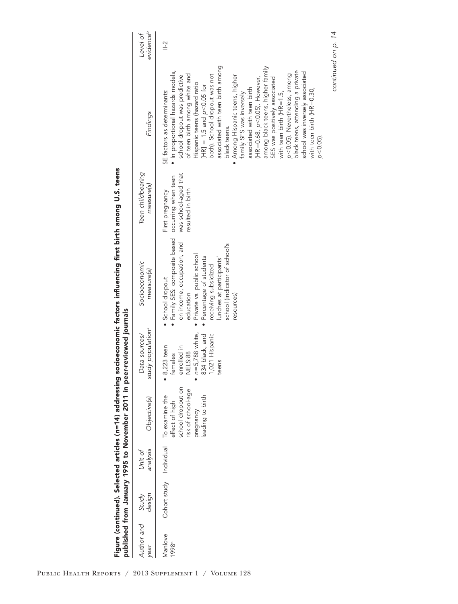|                                                                                                                        | evidence <sup>b</sup><br>Level of              | $\tilde{=}$                                                                                                                                                                                                                                                                                                                                                                        |
|------------------------------------------------------------------------------------------------------------------------|------------------------------------------------|------------------------------------------------------------------------------------------------------------------------------------------------------------------------------------------------------------------------------------------------------------------------------------------------------------------------------------------------------------------------------------|
|                                                                                                                        | Findings                                       | associated with teen birth among<br>· In proportional hazards models,<br>of teen birth among white and<br>both). School dropout was not<br>school dropout was predictive<br>· Among Hispanic teens, higher<br>Hispanic teens (hazard ratio<br>$HR$ ] = 1.5 and p<0.05 for<br>accoriated with teen birth<br>SE factors as determinants:<br>family SES was inversely<br>black teens. |
|                                                                                                                        | Teen childbearing<br>measure(s)                | was school-aged that<br>occurring when teen<br>resulted in birth<br>First pregnancy                                                                                                                                                                                                                                                                                                |
| Figure (continued). Selected articles (n=14) addressing socioeconomic factors influencing first birth among U.S. teens | Socioeconomic<br>measure(s)                    | Family SES: composite based<br>on income, occupation, and<br>school (indicator of school's<br>· Private vs. public school<br>Percentage of students<br>lunches at participants'<br>receiving subsidized<br>School dropout<br>education<br>resources)                                                                                                                               |
| published from January 1995 to November 2011 in peer-reviewed journals                                                 | study population <sup>a</sup><br>Data sources/ | $n=5,788$ white,<br>834 black, and<br>1,021 Hispanic<br>8,223 teen<br>enrolled in<br>NELS:88<br>females<br>teens                                                                                                                                                                                                                                                                   |
|                                                                                                                        | Objective(s)                                   | school dropout on<br>risk of school-age<br>To examine the<br>effect of high<br>eading to birth<br>pregnancy                                                                                                                                                                                                                                                                        |
|                                                                                                                        | analysis<br>Unit of                            |                                                                                                                                                                                                                                                                                                                                                                                    |
|                                                                                                                        | Study<br>design                                | Cohort study Individual                                                                                                                                                                                                                                                                                                                                                            |
|                                                                                                                        | Author and<br>year                             | Manlove<br>1998                                                                                                                                                                                                                                                                                                                                                                    |
| PUBLIC HEALTH REPORTS / 2013 SUPPLEMENT                                                                                |                                                | / VOLUME $128$<br>-1                                                                                                                                                                                                                                                                                                                                                               |

(HR

50.68, *p*

associated with teen birth family SES was inversely

with teen birth (HR with teen birth  $(HR = 1.5,$ p<0.05). Nevertheless, among black teens, attending a private ,0.05). Nevertheless, among black teens, attending a private school was inversely associated

SES was positively associated

with teen birth (HR with teen birth (HR=0.30,

school was inversely associated

*p*,0.05).

 $<$  0.05). However, among black teens, higher family SES was positively associated

 Among Hispanic teens, higher family SES was inversely associated with teen birth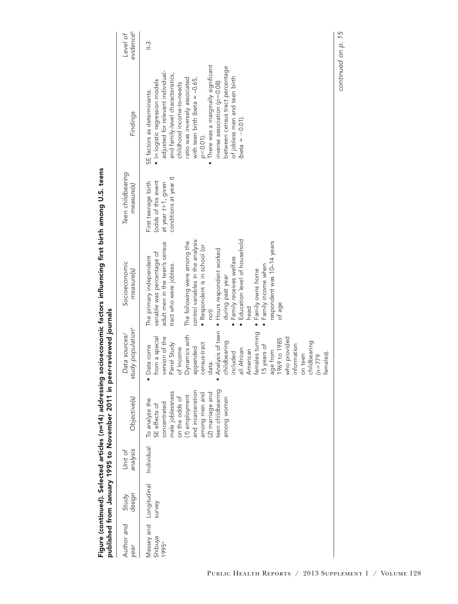|                    |                                   |                     | published from January 1995 to November 2011 in peer-reviewed journals                                                                                                                                |                                                                                                                                                                                                                                                                                                                                                            |                                                                                                                                                                                                                                                                                                                                                                                                                                         |                                                                                           |                                                                                                                                                                                                                                                                                                                                                                                                                                   |                                   |
|--------------------|-----------------------------------|---------------------|-------------------------------------------------------------------------------------------------------------------------------------------------------------------------------------------------------|------------------------------------------------------------------------------------------------------------------------------------------------------------------------------------------------------------------------------------------------------------------------------------------------------------------------------------------------------------|-----------------------------------------------------------------------------------------------------------------------------------------------------------------------------------------------------------------------------------------------------------------------------------------------------------------------------------------------------------------------------------------------------------------------------------------|-------------------------------------------------------------------------------------------|-----------------------------------------------------------------------------------------------------------------------------------------------------------------------------------------------------------------------------------------------------------------------------------------------------------------------------------------------------------------------------------------------------------------------------------|-----------------------------------|
| Author and<br>year | design<br>Study                   | analysis<br>Unit of | Objective(s)                                                                                                                                                                                          | study population <sup>ª</sup><br>Data sources/                                                                                                                                                                                                                                                                                                             | Socioeconomic<br>measure(s)                                                                                                                                                                                                                                                                                                                                                                                                             | Teen childbearing<br>measure(s)                                                           | Findings                                                                                                                                                                                                                                                                                                                                                                                                                          | evidence <sup>b</sup><br>Level of |
| Shibuya<br>1995°   | Massey and Longitudinal<br>survey | Individual          | teen childbearing<br>and incarceration<br>male joblessness<br>among men and<br>(2) marriage and<br>(1) employment<br>on the odds of<br>among women<br>To analyze the<br>concentrated<br>SE effects of | Analysis of teen<br>females turning<br>Dynamics with<br>version of the<br>from a special<br>who provided<br>age from<br>1969 to 1985<br>childbearing<br>childbearing<br>census-tract<br>Panel Study<br>information<br>ata come<br>15 years of<br>appended<br>of Income<br>all African<br>American<br>included<br>$(n=779$<br>females).<br>on teen<br>data. | control variables in the analysis:<br>Education level of household<br>adult men in the teen's census<br>The following were among the<br>respondent was 10-14 years<br>· Respondent is in school (or<br>· Hours respondent worked<br>variable was percentage of<br>The primary independent<br>Family receives welfare<br>tract who were jobless.<br>Family income when<br>Family owns home<br>during past year<br>of age<br>head<br>not) | conditions at year t)<br>(odds of this event<br>First teenage birth<br>at year t+1, given | There was a marginally significant<br>between census tract percentage<br>adjusted for relevant individual-<br>and family-level characteristics,<br>of jobless men and teen birth<br>ratio was inversely associated<br>with teen birth (beta $= -0.65$ ,<br>· In logistic regression models<br>childhood income-to-needs<br>inverse association ( $p=0.08$ )<br>SE factors as determinants:<br>(beta = $-0.01$ ).<br>$p < 0.01$ ). | $\tilde{=}$                       |
|                    |                                   |                     |                                                                                                                                                                                                       |                                                                                                                                                                                                                                                                                                                                                            |                                                                                                                                                                                                                                                                                                                                                                                                                                         |                                                                                           |                                                                                                                                                                                                                                                                                                                                                                                                                                   |                                   |

Figure (continued). Selected articles (n=14) addressing socioeconomic factors influencing first birth among U.S. teens *n*=14) addressing socioeconomic factors influencing first birth among U.S. teens Figure (continued). Selected articles (

*continued on p. 15*

continued on p. 15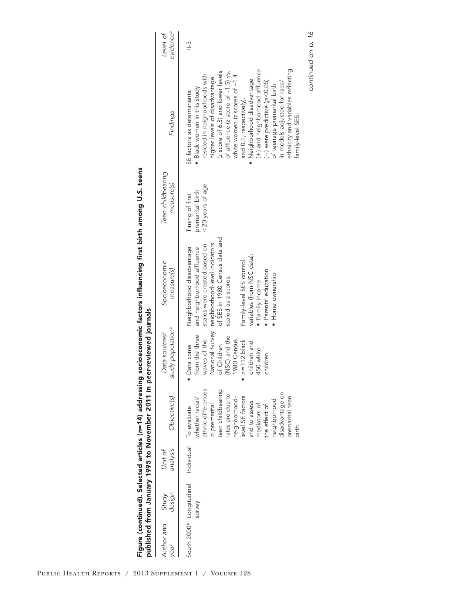| teens.          |          |
|-----------------|----------|
| ;;<br>σ         |          |
|                 |          |
|                 |          |
|                 |          |
|                 |          |
|                 |          |
|                 |          |
|                 |          |
|                 |          |
|                 |          |
|                 | Í        |
|                 |          |
|                 |          |
|                 |          |
|                 |          |
|                 |          |
|                 |          |
|                 |          |
| $-1$ addres $-$ | 17071    |
|                 |          |
|                 |          |
|                 |          |
|                 | ر<br>م   |
|                 | $100E +$ |
|                 |          |
| Š               |          |
|                 |          |
|                 |          |
|                 |          |
|                 |          |
|                 |          |

| evidenceb<br>Level of                              | $\frac{1}{1}$                                                                                                                                                                                                                                                                                                                                                                                                                                                                                                 | continued on p. 16 |
|----------------------------------------------------|---------------------------------------------------------------------------------------------------------------------------------------------------------------------------------------------------------------------------------------------------------------------------------------------------------------------------------------------------------------------------------------------------------------------------------------------------------------------------------------------------------------|--------------------|
| Findings                                           | ethnicity and variables reflecting<br>(+) and neighborhood affluence<br>(z score of 6.3) and lower levels<br>of affluence (z score of -1.5) vs.<br>resided in neighborhoods with<br>white women (z scores of -1.4<br>higher levels of disadvantage<br>Neighborhood disadvantage<br>$(-)$ were predictive $(p<0.05)$<br>in models adjusted for race/<br>of teenage premarital birth<br>· Black women in this study<br>SE factors as determinants:<br>and 0.1, respectively).<br>family-level SES.<br>$\bullet$ |                    |
| Teen childbearing<br>measure(s)                    | <20 years of age<br>premarital birth<br>Timing of first                                                                                                                                                                                                                                                                                                                                                                                                                                                       |                    |
| Socioeconomic<br>measure(s)                        | of SES in 1980 Census data and<br>neighborhood-level indicators<br>scales were created based on<br>Neighborhood disadvantage<br>and neighborhood affluence<br>variables (from NSC data):<br>Family-level SES control<br>Parents' education<br>· Home ownership<br>scaled as z scores.<br>· Family income                                                                                                                                                                                                      |                    |
| udy population <sup>a</sup><br>Data sources/<br>5t | National Survey<br>rom the three<br>(NSC) and the<br>waves of the<br>1980 Census.<br>$n = 112$ black<br>children and<br>of Children<br>Data come<br><b>150</b> white<br>children                                                                                                                                                                                                                                                                                                                              |                    |
| Objective(s)                                       | ethnic differences<br>teen childbearing<br>disadvantage on<br>rates are due to<br>level SE factors<br>premarital teen<br>whether racial/<br>neighborhood-<br>neighborhood<br>and to assess<br>mediators of<br>in premarital<br>the effect of<br>To evaluate<br>birth                                                                                                                                                                                                                                          |                    |
| analysis<br>Unit of                                | Individual                                                                                                                                                                                                                                                                                                                                                                                                                                                                                                    |                    |
| Study<br>design                                    | survey                                                                                                                                                                                                                                                                                                                                                                                                                                                                                                        |                    |
| Author and<br>year                                 | South 2000 <sup>P</sup> Longitudinal                                                                                                                                                                                                                                                                                                                                                                                                                                                                          |                    |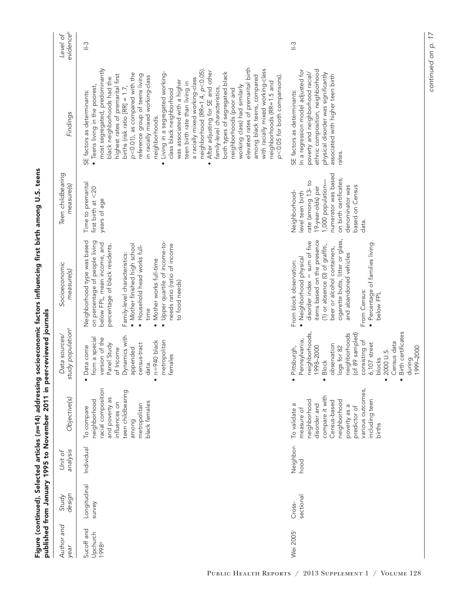| $\frac{1}{3}$              |             |
|----------------------------|-------------|
|                            |             |
|                            |             |
|                            |             |
|                            |             |
|                            |             |
| 14) addressin.             | r zu 1 In p |
| $5(7)$ s                   |             |
|                            |             |
|                            | ジット・・・      |
|                            |             |
|                            |             |
| Õ<br>CÕ<br>Figur<br>n<br>. | publishe    |

| analysis<br>Unit of | Objective(s)                                                                                                                                                                                    | study population <sup>a</sup><br>Data sources/                                                                                                                                                                                                                    | Socioeconomic<br>measure(s)                                                                                                                                                                                                                                                                                                                                                               | Teen childbearing<br>measure(s)                                                                                                                                                                  | Findings                                                                                                                                                                                                                                                                                                                                                                                                                                                                                                                                                                                                                                                                                                                                                                                                                                                                                             | evidenceb<br>Level of |
|---------------------|-------------------------------------------------------------------------------------------------------------------------------------------------------------------------------------------------|-------------------------------------------------------------------------------------------------------------------------------------------------------------------------------------------------------------------------------------------------------------------|-------------------------------------------------------------------------------------------------------------------------------------------------------------------------------------------------------------------------------------------------------------------------------------------------------------------------------------------------------------------------------------------|--------------------------------------------------------------------------------------------------------------------------------------------------------------------------------------------------|------------------------------------------------------------------------------------------------------------------------------------------------------------------------------------------------------------------------------------------------------------------------------------------------------------------------------------------------------------------------------------------------------------------------------------------------------------------------------------------------------------------------------------------------------------------------------------------------------------------------------------------------------------------------------------------------------------------------------------------------------------------------------------------------------------------------------------------------------------------------------------------------------|-----------------------|
| Individual          | racial composition<br>teen childbearing<br>and poverty as<br>neighborhood<br>black females<br>influences on<br>metropolitan<br>To compare<br>among                                              | Dynamics with<br>from a special<br>version of the<br>metropolitan<br>n=940 black<br>census-tract<br>Panel Study<br>Data come<br>appended<br>of Income<br>emales<br>data.                                                                                          | Neighborhood type was based<br>on percentage of people living<br>Upper quartile of income-to-<br>below FPL, mean income, and<br>percentage of black residents.<br>· Mother finished high school<br>needs ratio (ratio of income<br>Household head works full-<br>Family-level characteristics:<br>Mother works full-time<br>to food needs)<br>time<br>$\bullet$<br>$\bullet$<br>$\bullet$ | Time to premarital<br>first birth at $<$ 20<br>years of age                                                                                                                                      | elevated rates of premarital birth<br>with racially mixed working-class<br>most segregated, predominantly<br>neighborhood (RR=1.4, p<0.05)<br>After adjusting for SE and other<br>Living in a segregated working-<br>both types of segregated black<br>p<0.01), as compared with the<br>reference group of teens living<br>highest rates of premarital first<br>in racially mixed working-class<br>among black teens, compared<br>p<0.05 for both comparisons)<br>black neighborhoods had the<br>a racially mixed working-class<br>was associated with a higher<br>neighborhoods (RR=1.5 and<br>teen birth rate than living in<br>· Teens living in the poorest,<br>working class) had similarly<br>births (risk ratio [RR] = 1.7,<br>family-level characteristics<br>neighborhoods (poor and<br>class black neighborhood<br>SE factors as determinants:<br>neighborhoods.<br>$\bullet$<br>$\bullet$ | $\frac{3}{1}$         |
| Neighbor-<br>hood   | various outcomes,<br>compare it with<br>including teen<br>neighborhood<br>neighborhood<br>Census-based<br>disorder and<br>To validate a<br>poverty as a<br>predictor of<br>measure of<br>births | Birth certificates<br>neighborhoods,<br>neighborhoods<br>(of 89 sampled)<br>Pennsylvania,<br>consisting of<br>Census data<br>6,107 street<br>observation<br>1998-2000<br>logs for 82<br>Pittsburgh,<br>1999-2000<br>2000 U.S.<br>during<br>blocks<br><b>Block</b> | items based on the presence<br>cigarette butts, litter or glass,<br>disorder index = sum of five<br>Percentage of families living<br>(1) or absence (0) of graffiti,<br>beer or alcohol containers,<br>and abandoned vehicles<br>· Neighborhood physical<br>From block observation:<br>From Census:<br>below FPL<br>$\bullet$                                                             | numerator was based<br>on birth certificates;<br>rate (among 13-to<br>1,000 population-<br>denominator was<br>based on Census<br>19-year-olds) per<br>level teen birth<br>Neighborhood-<br>data. | In a regression model adjusted for<br>ethnic composition, neighborhood<br>poverty and neighborhood racial/<br>physical disorder was significantly<br>associated with higher teen birth<br>SE factors as determinants:<br>rates.                                                                                                                                                                                                                                                                                                                                                                                                                                                                                                                                                                                                                                                                      | $\frac{3}{1}$         |

continued on p. 17 *continued on p. 17*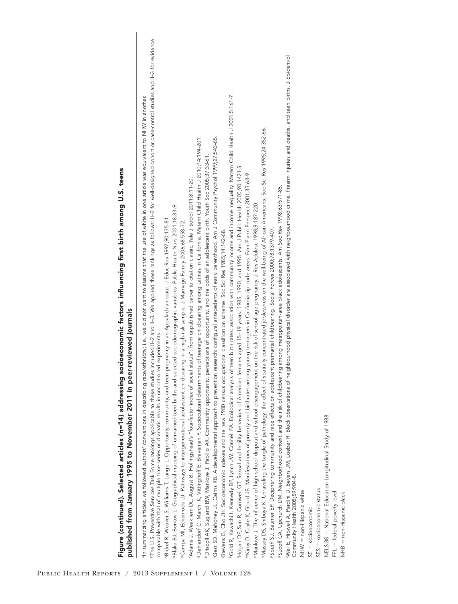| socioeconomic factors influencing first birth among U.S. teens<br>published from January 1995 to November 2011 in peer-reviewed journals<br>Figure (continued). Selected articles (n=14) addressing                                                                                                                                                                                                                                                                                                                        |
|----------------------------------------------------------------------------------------------------------------------------------------------------------------------------------------------------------------------------------------------------------------------------------------------------------------------------------------------------------------------------------------------------------------------------------------------------------------------------------------------------------------------------|
| °The U.S. Preventive Services Task Force rankings applicable to these studies included II–2 and II–2. We applied these rankings as follows: II–2 for well-designed cohort or case-control studies and II–3 for evidence<br>In summarizing articles, we followed authors' conventions in describing race/ethnicity; i.e., we did not want to assume that the use of white in one article was equivalent to NHW in another.<br>comparable with that of multiple time series or dramatic results in uncontrolled experiments. |
| 'Blake BJ, Bentov L. Geographical mapping of unmarried teen births and selected sociodemographic variables. Public Health Nurs 2001;18:33-9.<br>Bickel R, Weaver S, Williams T, Lange L. Opportunity, community, and teen pregnancy in an Appalachian state. J Educ Res 1997;90:175-81.                                                                                                                                                                                                                                    |
| °Campa MI, Eckenrode JJ. Pathways to intergenerational adolescent childbearing in a high-risk sample. J Marriage Family 2006;68:558-72.                                                                                                                                                                                                                                                                                                                                                                                    |
| Dehlendorf C, Marchi K, Vittinghoff E, Braveman P. Sociocultural determinants of teenage childbearing among Latinas in California. Matern Child Health J 2010;14:194-201.<br>'Adams J, Weakliem DL. August B. Hollingshead's "four-factor index of social status": from unpublished paper to citation classic. Yale J Sociol 2011;8:11-20.                                                                                                                                                                                 |
| "Driscoll AK, Sugland BW, Manlove J, Papillo AR. Community opportunity, perceptions of opportunity, and the odds of an adolescent birth. Youth Soc 2005;37:33-61.                                                                                                                                                                                                                                                                                                                                                          |
| Gest SD, Mahoney JL, Cairns RB. A developmental approach to prevention research: configural antecedents of early parenthood. Am J Community Psychol 1999;27:543-65.                                                                                                                                                                                                                                                                                                                                                        |
| Stevens G, Cho JH. Socioeconomic indexes and the new 1980 census occupational classification scheme. Soc Sci Res 1985;14:142-68.                                                                                                                                                                                                                                                                                                                                                                                           |
| YGold R, Kawachi I, Kennedy BP, Lynch JW, Connell FA. Ecological analysis of teen birth rates: association with community income and income inequality. Matern Child Health J 2001;5:161-7.                                                                                                                                                                                                                                                                                                                                |
| females aged 15-19 years: 1985, 1990, and 1995. Am J Public Health 2000;90:1421-5.<br>Hogan DP, Sun R, Cornwell GT. Sexual and fertility behaviors of American                                                                                                                                                                                                                                                                                                                                                             |
| Kirby D, Coyle K, Gould JB. Manifestations of poverty and birthrates among young teenagers in California zip code areas. Fam Plann Perspect 2001;33:63-9.<br>Manlove J. The influence of high school dropout and school disengagement on the risk of school-age pregnancy. J Res Adolesc 1998;8:187-220.                                                                                                                                                                                                                   |
| Massey DS, Shibuya K. Unraveling the tangle of pathology: the effect of spatially concentrated joblessness on the well-being of African Americans. Soc Sci Res 1995;24:352-66.                                                                                                                                                                                                                                                                                                                                             |
| "South SJ, Baumer EP. Deciphering community and race effects on adolescent premarital childbearing. Social Forces 2000;78:1379-407.                                                                                                                                                                                                                                                                                                                                                                                        |
| Sucoff CA, Upchurch DM. Neighborhood context and the risk of childbearing among metropolitan-area black adolescents. Am Soc Rev 1998;63:571-85.                                                                                                                                                                                                                                                                                                                                                                            |
| Wei E, Hipwell A, Pardini D, Beyers JM, Loeber R. Block observations of neighbourhood physical disorder are associated with neighbourhood crime, firearm injuries and deaths, and teen births. J Epidemiol<br>Community Health 2005;59:904-8.                                                                                                                                                                                                                                                                              |
| NHW = non-Hispanic white                                                                                                                                                                                                                                                                                                                                                                                                                                                                                                   |
| $SE = 50$ cioeconomic                                                                                                                                                                                                                                                                                                                                                                                                                                                                                                      |
| SES = socioeconomic status                                                                                                                                                                                                                                                                                                                                                                                                                                                                                                 |

NELS:88 = National Education Longitudinal Study of 1988

NELS:88 = National Education Longitudinal Study of 1988

 $FPL =$  federal poverty level NHB = non-Hispanic black

FPL = federal poverty level NHB = non-Hispanic black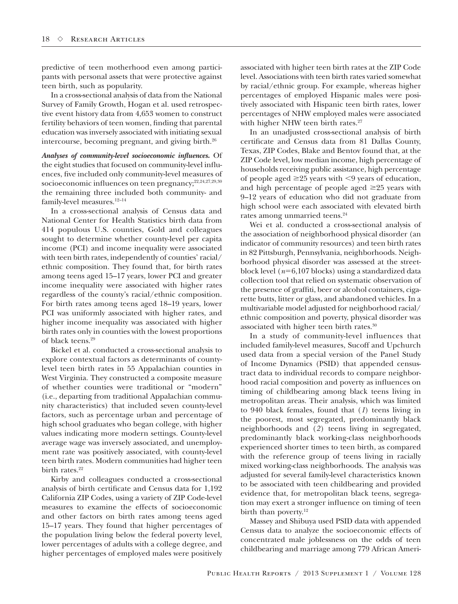predictive of teen motherhood even among participants with personal assets that were protective against teen birth, such as popularity.

In a cross-sectional analysis of data from the National Survey of Family Growth, Hogan et al. used retrospective event history data from 4,653 women to construct fertility behaviors of teen women, finding that parental education was inversely associated with initiating sexual intercourse, becoming pregnant, and giving birth.<sup>26</sup>

*Analyses of community-level socioeconomic influences***.** Of the eight studies that focused on community-level influences, five included only community-level measures of socioeconomic influences on teen pregnancy;<sup>22,24,27,29,30</sup> the remaining three included both community- and family-level measures.<sup>12-14</sup>

In a cross-sectional analysis of Census data and National Center for Health Statistics birth data from 414 populous U.S. counties, Gold and colleagues sought to determine whether county-level per capita income (PCI) and income inequality were associated with teen birth rates, independently of counties' racial/ ethnic composition. They found that, for birth rates among teens aged 15–17 years, lower PCI and greater income inequality were associated with higher rates regardless of the county's racial/ethnic composition. For birth rates among teens aged 18–19 years, lower PCI was uniformly associated with higher rates, and higher income inequality was associated with higher birth rates only in counties with the lowest proportions of black teens.<sup>29</sup>

Bickel et al. conducted a cross-sectional analysis to explore contextual factors as determinants of countylevel teen birth rates in 55 Appalachian counties in West Virginia. They constructed a composite measure of whether counties were traditional or "modern" (i.e., departing from traditional Appalachian community characteristics) that included seven county-level factors, such as percentage urban and percentage of high school graduates who began college, with higher values indicating more modern settings. County-level average wage was inversely associated, and unemployment rate was positively associated, with county-level teen birth rates. Modern communities had higher teen birth rates.<sup>22</sup>

Kirby and colleagues conducted a cross-sectional analysis of birth certificate and Census data for 1,192 California ZIP Codes, using a variety of ZIP Code-level measures to examine the effects of socioeconomic and other factors on birth rates among teens aged 15–17 years. They found that higher percentages of the population living below the federal poverty level, lower percentages of adults with a college degree, and higher percentages of employed males were positively associated with higher teen birth rates at the ZIP Code level. Associations with teen birth rates varied somewhat by racial/ethnic group. For example, whereas higher percentages of employed Hispanic males were positively associated with Hispanic teen birth rates, lower percentages of NHW employed males were associated with higher NHW teen birth rates.<sup>27</sup>

In an unadjusted cross-sectional analysis of birth certificate and Census data from 81 Dallas County, Texas, ZIP Codes, Blake and Bentov found that, at the ZIP Code level, low median income, high percentage of households receiving public assistance, high percentage of people aged  $\geq$  25 years with  $\leq$ 9 years of education, and high percentage of people aged  $\geq 25$  years with 9–12 years of education who did not graduate from high school were each associated with elevated birth rates among unmarried teens.<sup>24</sup>

Wei et al. conducted a cross-sectional analysis of the association of neighborhood physical disorder (an indicator of community resources) and teen birth rates in 82 Pittsburgh, Pennsylvania, neighborhoods. Neighborhood physical disorder was assessed at the streetblock level ( $n=6,107$  blocks) using a standardized data collection tool that relied on systematic observation of the presence of graffiti, beer or alcohol containers, cigarette butts, litter or glass, and abandoned vehicles. In a multivariable model adjusted for neighborhood racial/ ethnic composition and poverty, physical disorder was associated with higher teen birth rates.30

In a study of community-level influences that included family-level measures, Sucoff and Upchurch used data from a special version of the Panel Study of Income Dynamics (PSID) that appended censustract data to individual records to compare neighborhood racial composition and poverty as influences on timing of childbearing among black teens living in metropolitan areas. Their analysis, which was limited to 940 black females, found that (*1*) teens living in the poorest, most segregated, predominantly black neighborhoods and (*2*) teens living in segregated, predominantly black working-class neighborhoods experienced shorter times to teen birth, as compared with the reference group of teens living in racially mixed working-class neighborhoods. The analysis was adjusted for several family-level characteristics known to be associated with teen childbearing and provided evidence that, for metropolitan black teens, segregation may exert a stronger influence on timing of teen birth than poverty. $12$ 

Massey and Shibuya used PSID data with appended Census data to analyze the socioeconomic effects of concentrated male joblessness on the odds of teen childbearing and marriage among 779 African Ameri-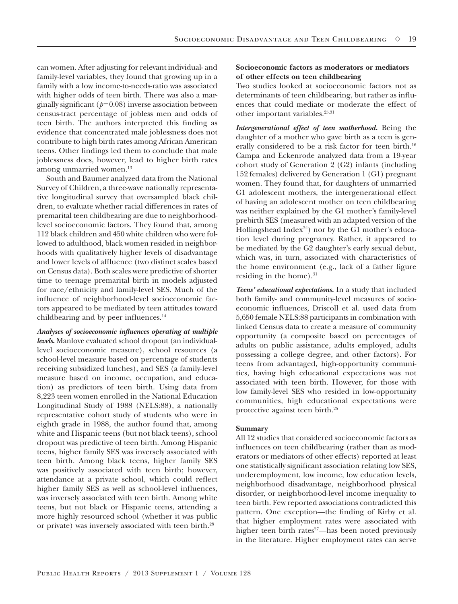can women. After adjusting for relevant individual- and family-level variables, they found that growing up in a family with a low income-to-needs-ratio was associated with higher odds of teen birth. There was also a marginally significant  $(p=0.08)$  inverse association between census-tract percentage of jobless men and odds of teen birth. The authors interpreted this finding as evidence that concentrated male joblessness does not contribute to high birth rates among African American teens. Other findings led them to conclude that male joblessness does, however, lead to higher birth rates among unmarried women.<sup>13</sup>

South and Baumer analyzed data from the National Survey of Children, a three-wave nationally representative longitudinal survey that oversampled black children, to evaluate whether racial differences in rates of premarital teen childbearing are due to neighborhoodlevel socioeconomic factors. They found that, among 112 black children and 450 white children who were followed to adulthood, black women resided in neighborhoods with qualitatively higher levels of disadvantage and lower levels of affluence (two distinct scales based on Census data). Both scales were predictive of shorter time to teenage premarital birth in models adjusted for race/ethnicity and family-level SES. Much of the influence of neighborhood-level socioeconomic factors appeared to be mediated by teen attitudes toward childbearing and by peer influences.<sup>14</sup>

*Analyses of socioeconomic influences operating at multiple levels***.** Manlove evaluated school dropout (an individuallevel socioeconomic measure), school resources (a school-level measure based on percentage of students receiving subsidized lunches), and SES (a family-level measure based on income, occupation, and education) as predictors of teen birth. Using data from 8,223 teen women enrolled in the National Education Longitudinal Study of 1988 (NELS:88), a nationally representative cohort study of students who were in eighth grade in 1988, the author found that, among white and Hispanic teens (but not black teens), school dropout was predictive of teen birth. Among Hispanic teens, higher family SES was inversely associated with teen birth. Among black teens, higher family SES was positively associated with teen birth; however, attendance at a private school, which could reflect higher family SES as well as school-level influences, was inversely associated with teen birth. Among white teens, but not black or Hispanic teens, attending a more highly resourced school (whether it was public or private) was inversely associated with teen birth.<sup>28</sup>

## **Socioeconomic factors as moderators or mediators of other effects on teen childbearing**

Two studies looked at socioeconomic factors not as determinants of teen childbearing, but rather as influences that could mediate or moderate the effect of other important variables.<sup>25,31</sup>

*Intergenerational effect of teen motherhood.* Being the daughter of a mother who gave birth as a teen is generally considered to be a risk factor for teen birth.<sup>16</sup> Campa and Eckenrode analyzed data from a 19-year cohort study of Generation 2 (G2) infants (including 152 females) delivered by Generation 1 (G1) pregnant women. They found that, for daughters of unmarried G1 adolescent mothers, the intergenerational effect of having an adolescent mother on teen childbearing was neither explained by the G1 mother's family-level prebirth SES (measured with an adapted version of the Hollingshead Index $34$ ) nor by the G1 mother's education level during pregnancy. Rather, it appeared to be mediated by the G2 daughter's early sexual debut, which was, in turn, associated with characteristics of the home environment (e.g., lack of a father figure residing in the home). $31$ 

*Teens' educational expectations***.** In a study that included both family- and community-level measures of socioeconomic influences, Driscoll et al. used data from 5,650 female NELS:88 participants in combination with linked Census data to create a measure of community opportunity (a composite based on percentages of adults on public assistance, adults employed, adults possessing a college degree, and other factors). For teens from advantaged, high-opportunity communities, having high educational expectations was not associated with teen birth. However, for those with low family-level SES who resided in low-opportunity communities, high educational expectations were protective against teen birth.25

#### **Summary**

All 12 studies that considered socioeconomic factors as influences on teen childbearing (rather than as moderators or mediators of other effects) reported at least one statistically significant association relating low SES, underemployment, low income, low education levels, neighborhood disadvantage, neighborhood physical disorder, or neighborhood-level income inequality to teen birth. Few reported associations contradicted this pattern. One exception—the finding of Kirby et al. that higher employment rates were associated with higher teen birth rates<sup>27</sup>—has been noted previously in the literature. Higher employment rates can serve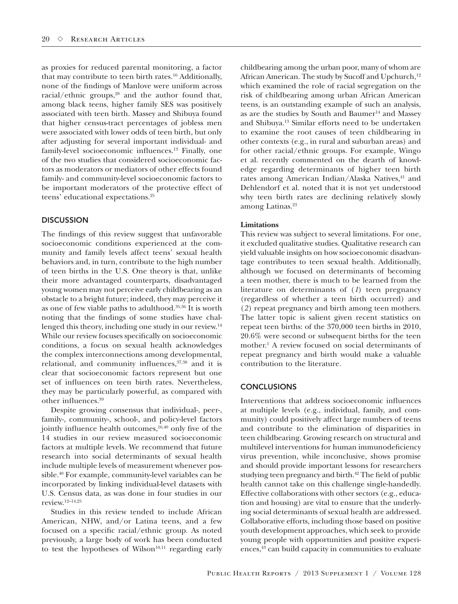as proxies for reduced parental monitoring, a factor that may contribute to teen birth rates.16 Additionally, none of the findings of Manlove were uniform across racial/ethnic groups, $28$  and the author found that, among black teens, higher family SES was positively associated with teen birth. Massey and Shibuya found that higher census-tract percentages of jobless men were associated with lower odds of teen birth, but only after adjusting for several important individual- and family-level socioeconomic influences.<sup>13</sup> Finally, one of the two studies that considered socioeconomic factors as moderators or mediators of other effects found family- and community-level socioeconomic factors to be important moderators of the protective effect of teens' educational expectations.25

## **DISCUSSION**

The findings of this review suggest that unfavorable socioeconomic conditions experienced at the community and family levels affect teens' sexual health behaviors and, in turn, contribute to the high number of teen births in the U.S. One theory is that, unlike their more advantaged counterparts, disadvantaged young women may not perceive early childbearing as an obstacle to a bright future; indeed, they may perceive it as one of few viable paths to adulthood.35,36 It is worth noting that the findings of some studies have challenged this theory, including one study in our review.<sup>14</sup> While our review focuses specifically on socioeconomic conditions, a focus on sexual health acknowledges the complex interconnections among developmental, relational, and community influences, $37,38$  and it is clear that socioeconomic factors represent but one set of influences on teen birth rates. Nevertheless, they may be particularly powerful, as compared with other influences.39

Despite growing consensus that individual-, peer-, family-, community-, school-, and policy-level factors jointly influence health outcomes, $16,40$  only five of the 14 studies in our review measured socioeconomic factors at multiple levels. We recommend that future research into social determinants of sexual health include multiple levels of measurement whenever possible.40 For example, community-level variables can be incorporated by linking individual-level datasets with U.S. Census data, as was done in four studies in our review.12–14,25

Studies in this review tended to include African American, NHW, and/or Latina teens, and a few focused on a specific racial/ethnic group. As noted previously, a large body of work has been conducted to test the hypotheses of Wilson<sup>10,11</sup> regarding early

childbearing among the urban poor, many of whom are African American. The study by Sucoff and Upchurch,<sup>12</sup> which examined the role of racial segregation on the risk of childbearing among urban African American teens, is an outstanding example of such an analysis, as are the studies by South and Baumer<sup>14</sup> and Massey and Shibuya.13 Similar efforts need to be undertaken to examine the root causes of teen childbearing in other contexts (e.g., in rural and suburban areas) and for other racial/ethnic groups. For example, Wingo et al. recently commented on the dearth of knowledge regarding determinants of higher teen birth rates among American Indian/Alaska Natives,<sup>41</sup> and Dehlendorf et al. noted that it is not yet understood why teen birth rates are declining relatively slowly among Latinas.<sup>23</sup>

#### **Limitations**

This review was subject to several limitations. For one, it excluded qualitative studies. Qualitative research can yield valuable insights on how socioeconomic disadvantage contributes to teen sexual health. Additionally, although we focused on determinants of becoming a teen mother, there is much to be learned from the literature on determinants of (*1*) teen pregnancy (regardless of whether a teen birth occurred) and (*2*) repeat pregnancy and birth among teen mothers. The latter topic is salient given recent statistics on repeat teen births: of the 370,000 teen births in 2010, 20.6% were second or subsequent births for the teen mother. 1 A review focused on social determinants of repeat pregnancy and birth would make a valuable contribution to the literature.

### **CONCLUSIONS**

Interventions that address socioeconomic influences at multiple levels (e.g., individual, family, and community) could positively affect large numbers of teens and contribute to the elimination of disparities in teen childbearing. Growing research on structural and multilevel interventions for human immunodeficiency virus prevention, while inconclusive, shows promise and should provide important lessons for researchers studying teen pregnancy and birth.<sup>42</sup> The field of public health cannot take on this challenge single-handedly. Effective collaborations with other sectors (e.g., education and housing) are vital to ensure that the underlying social determinants of sexual health are addressed. Collaborative efforts, including those based on positive youth development approaches, which seek to provide young people with opportunities and positive experiences,<sup>43</sup> can build capacity in communities to evaluate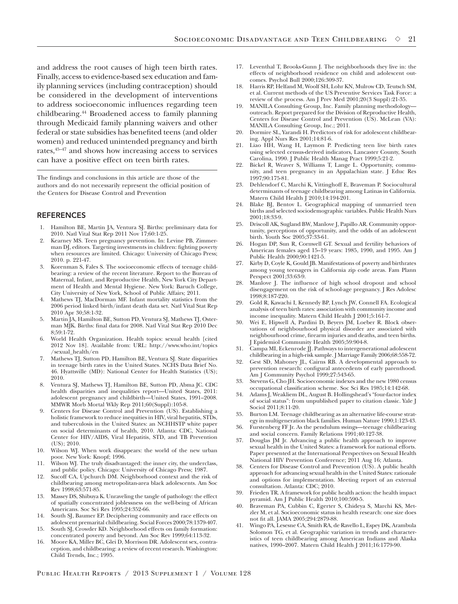and address the root causes of high teen birth rates. Finally, access to evidence-based sex education and family planning services (including contraception) should be considered in the development of interventions to address socioeconomic influences regarding teen childbearing.44 Broadened access to family planning through Medicaid family planning waivers and other federal or state subsidies has benefited teens (and older women) and reduced unintended pregnancy and birth rates,45–47 and shows how increasing access to services can have a positive effect on teen birth rates.

The findings and conclusions in this article are those of the authors and do not necessarily represent the official position of the Centers for Disease Control and Prevention

#### REFERENCES

- 1. Hamilton BE, Martin JA, Ventura SJ. Births: preliminary data for 2010. Natl Vital Stat Rep 2011 Nov 17;60:1-25.
- Kearney MS. Teen pregnancy prevention. In: Levine PB, Zimmerman DJ, editors. Targeting investments in children: fighting poverty when resources are limited. Chicago: University of Chicago Press; 2010. p. 221-47.
- 3. Korenman S, Fales S. The socioeconomic effects of teenage childbearing: a review of the recent literature. Report to the Bureau of Maternal, Infant, and Reproductive Health, New York City Department of Health and Mental Hygiene. New York: Baruch College, City University of New York, School of Public Affairs; 2011.
- 4. Mathews TJ, MacDorman MF. Infant mortality statistics from the 2006 period linked birth/infant death data set. Natl Vital Stat Rep 2010 Apr 30;58:1-32.
- Martin IA, Hamilton BE, Sutton PD, Ventura SJ, Mathews TJ, Osterman MJK. Births: final data for 2008. Natl Vital Stat Rep 2010 Dec 8;59:1-72.
- 6. World Health Organization. Health topics: sexual health [cited 2012 Nov 18]. Available from: URL: http://www.who.int/topics /sexual\_health/en
- 7. Mathews TJ, Sutton PD, Hamilton BE, Ventura SJ. State disparities in teenage birth rates in the United States. NCHS Data Brief No. 46. Hyattsville (MD): National Center for Health Statistics (US); 2010.
- 8. Ventura SJ, Mathews TJ, Hamilton BE, Sutton PD, Abma JC. CDC health disparities and inequalities report—United States, 2011: adolescent pregnancy and childbirth—United States, 1991–2008. MMWR Morb Mortal Wkly Rep 2011;60(Suppl):105-8.
- 9. Centers for Disease Control and Prevention (US). Establishing a holistic framework to reduce inequities in HIV, viral hepatitis, STDs, and tuberculosis in the United States: an NCHHSTP white paper on social determinants of health, 2010. Atlanta: CDC, National Center for HIV/AIDS, Viral Hepatitis, STD, and TB Prevention (US); 2010.
- 10. Wilson WJ. When work disappears: the world of the new urban poor. New York: Knopf; 1996.
- 11. Wilson WJ. The truly disadvantaged: the inner city, the underclass, and public policy. Chicago: University of Chicago Press; 1987.
- 12. Sucoff CA, Upchurch DM. Neighborhood context and the risk of childbearing among metropolitan-area black adolescents. Am Soc Rev 1998;63:571-85.
- 13. Massey DS, Shibuya K. Unraveling the tangle of pathology: the effect of spatially concentrated joblessness on the well-being of African Americans. Soc Sci Res 1995;24:352-66.
- 14. South SJ, Baumer EP. Deciphering community and race effects on adolescent premarital childbearing. Social Forces 2000;78:1379-407.
- 15. South SJ, Crowder KD. Neighborhood effects on family formation: concentrated poverty and beyond. Am Soc Rev 1999;64:113-32.
- 16. Moore KA, Miller BC, Glei D, Morrison DR. Adolescent sex, contraception, and childbearing: a review of recent research. Washington: Child Trends, Inc.; 1995.
- 17. Leventhal T, Brooks-Gunn J. The neighborhoods they live in: the effects of neighborhood residence on child and adolescent outcomes. Psychol Bull 2000;126:309-37.
- 18. Harris RP, Helfand M, Woolf SH, Lohr KN, Mulrow CD, Teutsch SM, et al. Current methods of the US Preventive Services Task Force: a review of the process. Am J Prev Med 2001;20(3 Suppl):21-35.
- 19. MANILA Consulting Group, Inc. Family planning methodology outreach. Report prepared for the Division of Reproductive Health, Centers for Disease Control and Prevention (US). McLean (VA): MANILA Consulting Group, Inc.; 2011.
- 20. Dormire SL, Yarandi H. Predictors of risk for adolescent childbearing. Appl Nurs Res 2001;14:81-6.
- 21. Liao HH, Wang H, Laymon P. Predicting teen live birth rates using selected census-derived indicators, Lancaster County, South Carolina, 1990. J Public Health Manag Pract 1999;5:21-2.
- 22. Bickel R, Weaver S, Williams T, Lange L. Opportunity, community, and teen pregnancy in an Appalachian state. J Educ Res 1997;90:175-81.
- 23. Dehlendorf C, Marchi K, Vittinghoff E, Braveman P. Sociocultural determinants of teenage childbearing among Latinas in California. Matern Child Health J 2010;14:194-201.
- 24. Blake BJ, Bentov L. Geographical mapping of unmarried teen births and selected sociodemographic variables. Public Health Nurs 2001;18:33-9.
- 25. Driscoll AK, Sugland BW, Manlove J, Papillo AR. Community opportunity, perceptions of opportunity, and the odds of an adolescent birth. Youth Soc 2005;37:33-61.
- 26. Hogan DP, Sun R, Cornwell GT. Sexual and fertility behaviors of American females aged 15–19 years: 1985, 1990, and 1995. Am J Public Health 2000;90:1421-5.
- 27. Kirby D, Coyle K, Gould JB. Manifestations of poverty and birthrates among young teenagers in California zip code areas. Fam Plann Perspect 2001;33:63-9.
- 28. Manlove J. The influence of high school dropout and school disengagement on the risk of school-age pregnancy. J Res Adolesc 1998;8:187-220.
- 29. Gold R, Kawachi I, Kennedy BP, Lynch JW, Connell FA. Ecological analysis of teen birth rates: association with community income and income inequality. Matern Child Health J 2001;5:161-7.
- 30. Wei E, Hipwell A, Pardini D, Beyers JM, Loeber R. Block observations of neighbourhood physical disorder are associated with neighbourhood crime, firearm injuries and deaths, and teen births. J Epidemiol Community Health 2005;59:904-8.
- 31. Campa MI, Eckenrode JJ. Pathways to intergenerational adolescent childbearing in a high-risk sample. J Marriage Family 2006;68:558-72.
- 32. Gest SD, Mahoney JL, Cairns RB. A developmental approach to prevention research: configural antecedents of early parenthood. Am J Community Psychol 1999;27:543-65.
- 33. Stevens G, Cho JH. Socioeconomic indexes and the new 1980 census occupational classification scheme. Soc Sci Res 1985;14:142-68.
- 34. Adams J, Weakliem DL, August B. Hollingshead's "four-factor index of social status": from unpublished paper to citation classic. Yale J Sociol 2011;8:11-20.
- 35. Burton LM. Teenage childbearing as an alternative life-course strategy in multigeneration black families. Human Nature 1990;1:123-43.
- Furstenberg FF Jr. As the pendulum swings—teenage childbearing and social concern. Family Relations 1991;40:127-38.
- 37. Douglas JM Jr. Advancing a public health approach to improve sexual health in the United States: a framework for national efforts. Paper presented at the International Perspectives on Sexual Health National HIV Prevention Conference; 2011 Aug 16; Atlanta.
- 38. Centers for Disease Control and Prevention (US). A public health approach for advancing sexual health in the United States: rationale and options for implementation. Meeting report of an external consultation. Atlanta: CDC; 2010.
- 39. Frieden TR. A framework for public health action: the health impact pyramid. Am J Public Health 2010;100:590-5.
- 40. Braveman PA, Cubbin C, Egerter S, Chideya S, Marchi KS, Metzler M, et al. Socioeconomic status in health research: one size does not fit all. JAMA 2005;294:2879-88.
- 41. Wingo PA, Lesesne CA, Smith RA, de Ravello L, Espey DK, Arambula Solomon TG, et al. Geographic variation in trends and characteristics of teen childbearing among American Indians and Alaska natives, 1990–2007. Matern Child Health J 2011;16:1779-90.